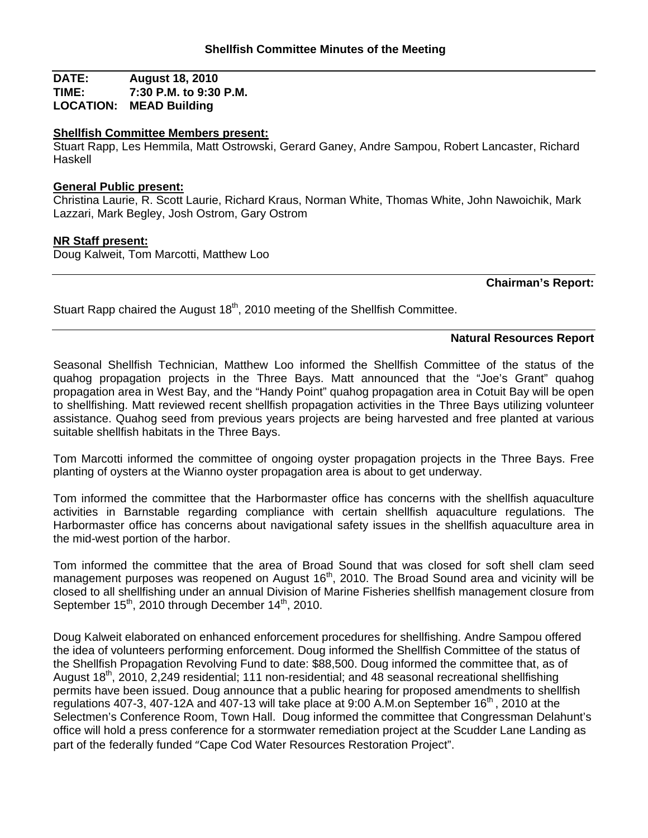**DATE: August 18, 2010 TIME: 7:30 P.M. to 9:30 P.M. LOCATION: MEAD Building**

## **Shellfish Committee Members present:**

Stuart Rapp, Les Hemmila, Matt Ostrowski, Gerard Ganey, Andre Sampou, Robert Lancaster, Richard Haskell

## **General Public present:**

Christina Laurie, R. Scott Laurie, Richard Kraus, Norman White, Thomas White, John Nawoichik, Mark Lazzari, Mark Begley, Josh Ostrom, Gary Ostrom

## **NR Staff present:**

Doug Kalweit, Tom Marcotti, Matthew Loo

**Chairman's Report:**

Stuart Rapp chaired the August 18<sup>th</sup>, 2010 meeting of the Shellfish Committee.

#### **Natural Resources Report**

Seasonal Shellfish Technician, Matthew Loo informed the Shellfish Committee of the status of the quahog propagation projects in the Three Bays. Matt announced that the "Joe's Grant" quahog propagation area in West Bay, and the "Handy Point" quahog propagation area in Cotuit Bay will be open to shellfishing. Matt reviewed recent shellfish propagation activities in the Three Bays utilizing volunteer assistance. Quahog seed from previous years projects are being harvested and free planted at various suitable shellfish habitats in the Three Bays.

Tom Marcotti informed the committee of ongoing oyster propagation projects in the Three Bays. Free planting of oysters at the Wianno oyster propagation area is about to get underway.

Tom informed the committee that the Harbormaster office has concerns with the shellfish aquaculture activities in Barnstable regarding compliance with certain shellfish aquaculture regulations. The Harbormaster office has concerns about navigational safety issues in the shellfish aquaculture area in the mid-west portion of the harbor.

Tom informed the committee that the area of Broad Sound that was closed for soft shell clam seed management purposes was reopened on August 16<sup>th</sup>, 2010. The Broad Sound area and vicinity will be closed to all shellfishing under an annual Division of Marine Fisheries shellfish management closure from September  $15<sup>th</sup>$ , 2010 through December  $14<sup>th</sup>$ , 2010.

Doug Kalweit elaborated on enhanced enforcement procedures for shellfishing. Andre Sampou offered the idea of volunteers performing enforcement. Doug informed the Shellfish Committee of the status of the Shellfish Propagation Revolving Fund to date: \$88,500. Doug informed the committee that, as of August 18<sup>th</sup>, 2010, 2,249 residential; 111 non-residential; and 48 seasonal recreational shellfishing permits have been issued. Doug announce that a public hearing for proposed amendments to shellfish regulations 407-3, 407-12A and 407-13 will take place at 9:00 A.M.on September  $16<sup>th</sup>$ , 2010 at the Selectmen's Conference Room, Town Hall. Doug informed the committee that Congressman Delahunt's office will hold a press conference for a stormwater remediation project at the Scudder Lane Landing as part of the federally funded "Cape Cod Water Resources Restoration Project".